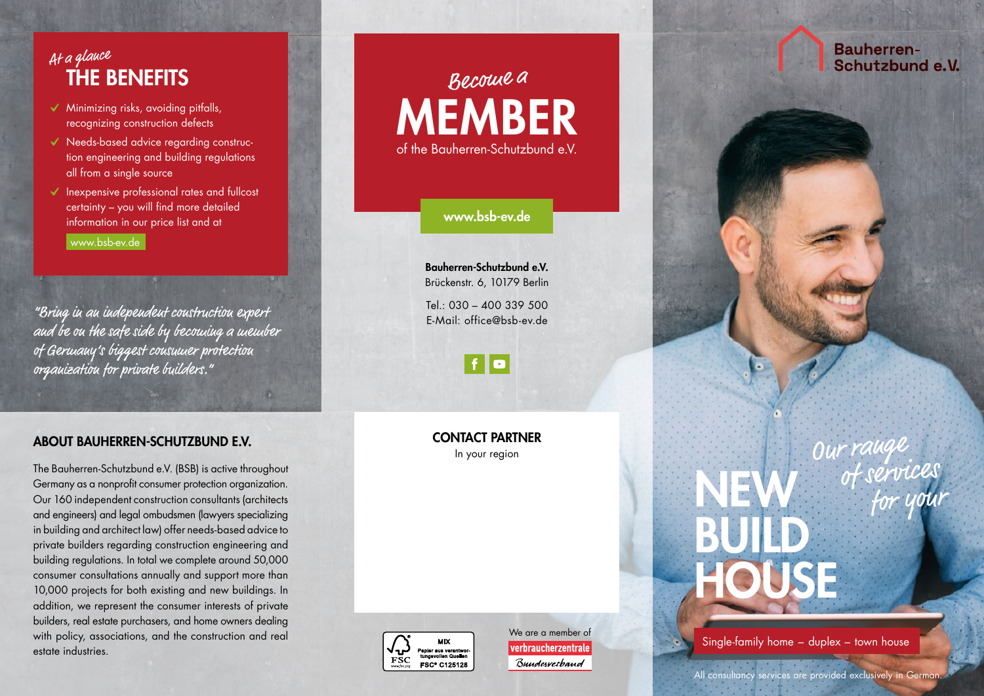### THE BENEFITS At a glance

- $\checkmark$  Minimizing risks, avoiding pitfalls, recognizing construction defects
- ✔ Needs-based advice regarding construc tion engineering and building regulations all from a single source
- ✔ Inexpensive professional rates and fullcost certainty – you will find more detailed information in our price list and at [www.bsb-ev.de](https://www.bsb-ev.de)

"Bring in an independent construction expert and be on the safe side by becoming a member of Germany's biggest consumer protection organization for private builders."

#### ABOUT BAUHERREN-SCHUTZBUND E.V.

The Bauherren-Schutzbund e.V. (BSB) is active throughout Germany as a nonprofit consumer protection organization. Our 160 independent construction consultants (architects and engineers) and legal ombudsmen (lawyers specializing in building and architect law) offer needs-based advice to private builders regarding construction engineering and building regulations. In total we complete around 50,000 consumer consultations annually and support more than 10,000 projects for both existing and new buildings. In addition, we represent the consumer interests of private builders, real estate purchasers, and home owners dealing with policy, associations, and the construction and real estate industries.

### MEMBER of the Bauherren-Schutzbund e.V. Become a

[www.bsb-ev.de](https://www.bsb-ev.de)

Bauherren-Schutzbund e.V. Brückenstr. 6, 10179 Berlin

 $Tel \cdot 030 - 400339500$ E-Mail: office@bsb-ev.de



CONTACT PARTNER In your region



We are a member of verbraucherzentrale Bundesverhand

**Bauherren-**Schutzbund e.V.



# BUILD HOUSE

NEW

Single-family home – duplex – town house